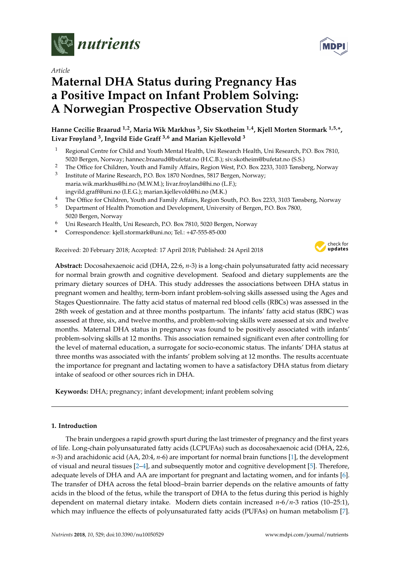

*Article*

# **Maternal DHA Status during Pregnancy Has a Positive Impact on Infant Problem Solving: A Norwegian Prospective Observation Study**

# **Hanne Cecilie Braarud 1,2, Maria Wik Markhus <sup>3</sup> , Siv Skotheim 1,4, Kjell Morten Stormark 1,5,\*, Livar Frøyland <sup>3</sup> , Ingvild Eide Graff 3,6 and Marian Kjellevold <sup>3</sup>**

- <sup>1</sup> Regional Centre for Child and Youth Mental Health, Uni Research Health, Uni Research, P.O. Box 7810, 5020 Bergen, Norway; hannec.braarud@bufetat.no (H.C.B.); siv.skotheim@bufetat.no (S.S.)
- <sup>2</sup> The Office for Children, Youth and Family Affairs, Region West, P.O. Box 2233, 3103 Tønsberg, Norway
- 3 Institute of Marine Research, P.O. Box 1870 Nordnes, 5817 Bergen, Norway; maria.wik.markhus@hi.no (M.W.M.); livar.froyland@hi.no (L.F.); ingvild.graff@uni.no (I.E.G.); marian.kjellevold@hi.no (M.K.)
- <sup>4</sup> The Office for Children, Youth and Family Affairs, Region South, P.O. Box 2233, 3103 Tønsberg, Norway
- <sup>5</sup> Department of Health Promotion and Development, University of Bergen, P.O. Box 7800, 5020 Bergen, Norway
- <sup>6</sup> Uni Research Health, Uni Research, P.O. Box 7810, 5020 Bergen, Norway
- **\*** Correspondence: kjell.stormark@uni.no; Tel.: +47-555-85-000

Received: 20 February 2018; Accepted: 17 April 2018; Published: 24 April 2018



**Abstract:** Docosahexaenoic acid (DHA, 22:6, *n*-3) is a long-chain polyunsaturated fatty acid necessary for normal brain growth and cognitive development. Seafood and dietary supplements are the primary dietary sources of DHA. This study addresses the associations between DHA status in pregnant women and healthy, term-born infant problem-solving skills assessed using the Ages and Stages Questionnaire. The fatty acid status of maternal red blood cells (RBCs) was assessed in the 28th week of gestation and at three months postpartum. The infants' fatty acid status (RBC) was assessed at three, six, and twelve months, and problem-solving skills were assessed at six and twelve months. Maternal DHA status in pregnancy was found to be positively associated with infants' problem-solving skills at 12 months. This association remained significant even after controlling for the level of maternal education, a surrogate for socio-economic status. The infants' DHA status at three months was associated with the infants' problem solving at 12 months. The results accentuate the importance for pregnant and lactating women to have a satisfactory DHA status from dietary intake of seafood or other sources rich in DHA.

**Keywords:** DHA; pregnancy; infant development; infant problem solving

# **1. Introduction**

The brain undergoes a rapid growth spurt during the last trimester of pregnancy and the first years of life. Long-chain polyunsaturated fatty acids (LCPUFAs) such as docosahexaenoic acid (DHA, 22:6, *n*-3) and arachidonic acid (AA, 20:4, *n*-6) are important for normal brain functions [\[1\]](#page-8-0), the development of visual and neural tissues [\[2](#page-8-1)[–4\]](#page-8-2), and subsequently motor and cognitive development [\[5\]](#page-8-3). Therefore, adequate levels of DHA and AA are important for pregnant and lactating women, and for infants [\[6\]](#page-8-4). The transfer of DHA across the fetal blood–brain barrier depends on the relative amounts of fatty acids in the blood of the fetus, while the transport of DHA to the fetus during this period is highly dependent on maternal dietary intake. Modern diets contain increased *n*-6/*n*-3 ratios (10–25:1), which may influence the effects of polyunsaturated fatty acids (PUFAs) on human metabolism [\[7\]](#page-8-5).

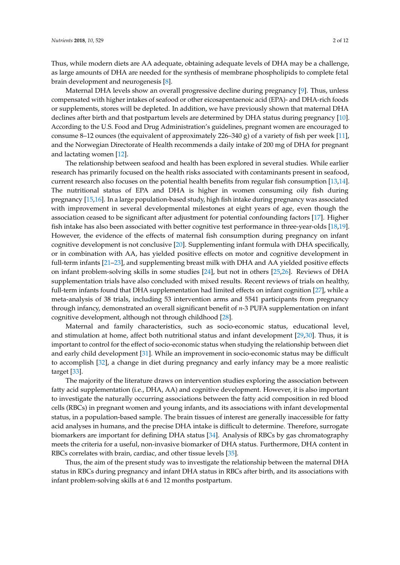Thus, while modern diets are AA adequate, obtaining adequate levels of DHA may be a challenge, as large amounts of DHA are needed for the synthesis of membrane phospholipids to complete fetal brain development and neurogenesis [\[8\]](#page-8-6).

Maternal DHA levels show an overall progressive decline during pregnancy [\[9\]](#page-8-7). Thus, unless compensated with higher intakes of seafood or other eicosapentaenoic acid (EPA)- and DHA-rich foods or supplements, stores will be depleted. In addition, we have previously shown that maternal DHA declines after birth and that postpartum levels are determined by DHA status during pregnancy [\[10\]](#page-8-8). According to the U.S. Food and Drug Administration's guidelines, pregnant women are encouraged to consume 8–12 ounces (the equivalent of approximately 226–340 g) of a variety of fish per week [\[11\]](#page-9-0), and the Norwegian Directorate of Health recommends a daily intake of 200 mg of DHA for pregnant and lactating women [\[12\]](#page-9-1).

The relationship between seafood and health has been explored in several studies. While earlier research has primarily focused on the health risks associated with contaminants present in seafood, current research also focuses on the potential health benefits from regular fish consumption [\[13,](#page-9-2)[14\]](#page-9-3). The nutritional status of EPA and DHA is higher in women consuming oily fish during pregnancy [\[15,](#page-9-4)[16\]](#page-9-5). In a large population-based study, high fish intake during pregnancy was associated with improvement in several developmental milestones at eight years of age, even though the association ceased to be significant after adjustment for potential confounding factors [\[17\]](#page-9-6). Higher fish intake has also been associated with better cognitive test performance in three-year-olds [\[18,](#page-9-7)[19\]](#page-9-8). However, the evidence of the effects of maternal fish consumption during pregnancy on infant cognitive development is not conclusive [\[20\]](#page-9-9). Supplementing infant formula with DHA specifically, or in combination with AA, has yielded positive effects on motor and cognitive development in full-term infants [\[21–](#page-9-10)[23\]](#page-9-11), and supplementing breast milk with DHA and AA yielded positive effects on infant problem-solving skills in some studies [\[24\]](#page-9-12), but not in others [\[25,](#page-9-13)[26\]](#page-9-14). Reviews of DHA supplementation trials have also concluded with mixed results. Recent reviews of trials on healthy, full-term infants found that DHA supplementation had limited effects on infant cognition [\[27\]](#page-9-15), while a meta-analysis of 38 trials, including 53 intervention arms and 5541 participants from pregnancy through infancy, demonstrated an overall significant benefit of *n*-3 PUFA supplementation on infant cognitive development, although not through childhood [\[28\]](#page-10-0).

Maternal and family characteristics, such as socio-economic status, educational level, and stimulation at home, affect both nutritional status and infant development [\[29,](#page-10-1)[30\]](#page-10-2). Thus, it is important to control for the effect of socio-economic status when studying the relationship between diet and early child development [\[31\]](#page-10-3). While an improvement in socio-economic status may be difficult to accomplish [\[32\]](#page-10-4), a change in diet during pregnancy and early infancy may be a more realistic target [\[33\]](#page-10-5).

The majority of the literature draws on intervention studies exploring the association between fatty acid supplementation (i.e., DHA, AA) and cognitive development. However, it is also important to investigate the naturally occurring associations between the fatty acid composition in red blood cells (RBCs) in pregnant women and young infants, and its associations with infant developmental status, in a population-based sample. The brain tissues of interest are generally inaccessible for fatty acid analyses in humans, and the precise DHA intake is difficult to determine. Therefore, surrogate biomarkers are important for defining DHA status [\[34\]](#page-10-6). Analysis of RBCs by gas chromatography meets the criteria for a useful, non-invasive biomarker of DHA status. Furthermore, DHA content in RBCs correlates with brain, cardiac, and other tissue levels [\[35\]](#page-10-7).

Thus, the aim of the present study was to investigate the relationship between the maternal DHA status in RBCs during pregnancy and infant DHA status in RBCs after birth, and its associations with infant problem-solving skills at 6 and 12 months postpartum.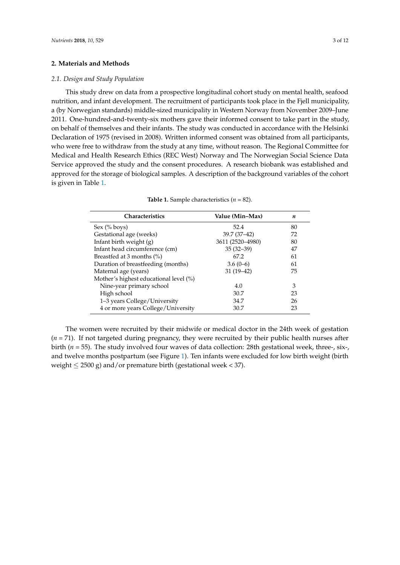#### **2. Materials and Methods**

#### *2.1. Design and Study Population*

This study drew on data from a prospective longitudinal cohort study on mental health, seafood nutrition, and infant development. The recruitment of participants took place in the Fjell municipality, a (by Norwegian standards) middle-sized municipality in Western Norway from November 2009–June 2011. One-hundred-and-twenty-six mothers gave their informed consent to take part in the study, on behalf of themselves and their infants. The study was conducted in accordance with the Helsinki Declaration of 1975 (revised in 2008). Written informed consent was obtained from all participants, who were free to withdraw from the study at any time, without reason. The Regional Committee for Medical and Health Research Ethics (REC West) Norway and The Norwegian Social Science Data Service approved the study and the consent procedures. A research biobank was established and approved for the storage of biological samples. A description of the background variables of the cohort is given in Table [1.](#page-2-0)

<span id="page-2-0"></span>

| <b>Characteristics</b>                 | Value (Min-Max)  | n  |
|----------------------------------------|------------------|----|
| Sex (% boys)                           | 52.4             | 80 |
| Gestational age (weeks)                | $39.7(37-42)$    | 72 |
| Infant birth weight (g)                | 3611 (2520-4980) | 80 |
| Infant head circumference (cm)         | $35(32-39)$      | 47 |
| Breastfed at 3 months (%)              | 67.2             | 61 |
| Duration of breastfeeding (months)     | $3.6(0-6)$       | 61 |
| Maternal age (years)                   | $31(19-42)$      | 75 |
| Mother's highest educational level (%) |                  |    |
| Nine-year primary school               | 4.0              | 3  |
| High school                            | 30.7             | 23 |
| 1–3 years College/University           | 34.7             | 26 |
| 4 or more years College/University     | 30.7             | 23 |

| <b>Table 1.</b> Sample characteristics ( $n = 82$ ). |  |  |
|------------------------------------------------------|--|--|
|------------------------------------------------------|--|--|

The women were recruited by their midwife or medical doctor in the 24th week of gestation (*n* = 71). If not targeted during pregnancy, they were recruited by their public health nurses after birth (*n* = 55). The study involved four waves of data collection: 28th gestational week, three-, six-, and twelve months postpartum (see Figure [1\)](#page-3-0). Ten infants were excluded for low birth weight (birth weight  $\leq$  2500 g) and/or premature birth (gestational week < 37).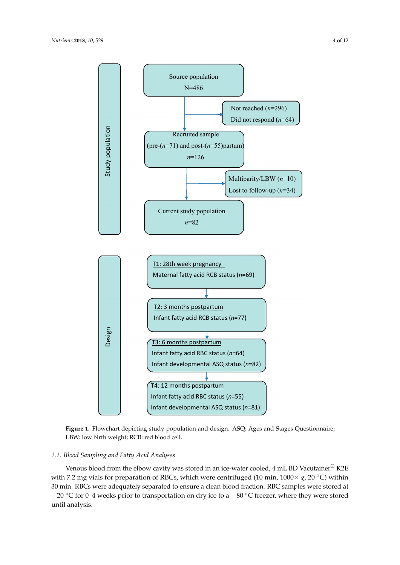<span id="page-3-0"></span>

**Figure 1.** Flowchart depicting study population and design. ASQ: Ages and Stages Questionnaire; LBW: low birth weight; RCB: red blood cell.

### *2.2. Blood Sampling and Fatty Acid Analyses*

30 min. RBCs were adequately separated to ensure a clean blood fraction. RBC samples were stored at −20 °C for 0–4 weeks prior to transportation on dry ice to a −80 °C freezer, where they were stored Venous blood from the elbow cavity was stored in an ice-water cooled, 4 mL BD Vacutainer® K2E with 7.2 mg vials for preparation of RBCs, which were centrifuged (10 min, 1000× *g*, 20 ◦C) within until analysis.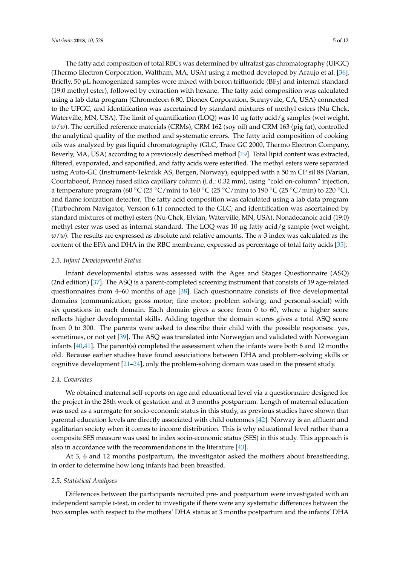The fatty acid composition of total RBCs was determined by ultrafast gas chromatography (UFGC) (Thermo Electron Corporation, Waltham, MA, USA) using a method developed by Araujo et al. [\[36\]](#page-10-8). Briefly, 50  $\mu$ L homogenized samples were mixed with boron trifluoride (BF<sub>3</sub>) and internal standard (19:0 methyl ester), followed by extraction with hexane. The fatty acid composition was calculated using a lab data program (Chromeleon 6.80, Dionex Corporation, Sunnyvale, CA, USA) connected to the UFGC, and identification was ascertained by standard mixtures of methyl esters (Nu-Chek, Waterville, MN, USA). The limit of quantification (LOQ) was 10  $\mu$ g fatty acid/g samples (wet weight, *w*/*w*). The certified reference materials (CRMs), CRM 162 (soy oil) and CRM 163 (pig fat), controlled the analytical quality of the method and systematic errors. The fatty acid composition of cooking oils was analyzed by gas liquid chromatography (GLC, Trace GC 2000, Thermo Electron Company, Beverly, MA, USA) according to a previously described method [\[19\]](#page-9-8). Total lipid content was extracted, filtered, evaporated, and saponified, and fatty acids were esterified. The methyl esters were separated using Auto-GC (Instrument-Teknikk AS, Bergen, Norway), equipped with a 50 m CP sil 88 (Varian, Courtaboeuf, France) fused silica capillary column (i.d.: 0.32 mm), using "cold on-column" injection, a temperature program (60 °C (25 °C/min) to 160 °C (25 °C/min) to 190 °C (25 °C/min) to 220 °C), and flame ionization detector. The fatty acid composition was calculated using a lab data program (Turbochrom Navigator, Version 6.1) connected to the GLC, and identification was ascertained by standard mixtures of methyl esters (Nu-Chek, Elyian, Waterville, MN, USA). Nonadecanoic acid (19:0) methyl ester was used as internal standard. The LOQ was 10  $\mu$ g fatty acid/g sample (wet weight, *w*/*w*). The results are expressed as absolute and relative amounts. The *n*-3 index was calculated as the content of the EPA and DHA in the RBC membrane, expressed as percentage of total fatty acids [\[35\]](#page-10-7).

#### *2.3. Infant Developmental Status*

Infant developmental status was assessed with the Ages and Stages Questionnaire (ASQ) (2nd edition) [\[37\]](#page-10-9). The ASQ is a parent-completed screening instrument that consists of 19 age-related questionnaires from 4–60 months of age [\[38\]](#page-10-10). Each questionnaire consists of five developmental domains (communication; gross motor; fine motor; problem solving; and personal-social) with six questions in each domain. Each domain gives a score from 0 to 60, where a higher score reflects higher developmental skills. Adding together the domain scores gives a total ASQ score from 0 to 300. The parents were asked to describe their child with the possible responses: yes, sometimes, or not yet [\[39\]](#page-10-11). The ASQ was translated into Norwegian and validated with Norwegian infants [\[40,](#page-10-12)[41\]](#page-10-13). The parent(s) completed the assessment when the infants were both 6 and 12 months old. Because earlier studies have found associations between DHA and problem-solving skills or cognitive development [\[21–](#page-9-10)[24\]](#page-9-12), only the problem-solving domain was used in the present study.

#### *2.4. Covariates*

We obtained maternal self-reports on age and educational level via a questionnaire designed for the project in the 28th week of gestation and at 3 months postpartum. Length of maternal education was used as a surrogate for socio-economic status in this study, as previous studies have shown that parental education levels are directly associated with child outcomes [\[42\]](#page-10-14). Norway is an affluent and egalitarian society when it comes to income distribution. This is why educational level rather than a composite SES measure was used to index socio-economic status (SES) in this study. This approach is also in accordance with the recommendations in the literature [\[43\]](#page-10-15).

At 3, 6 and 12 months postpartum, the investigator asked the mothers about breastfeeding, in order to determine how long infants had been breastfed.

#### *2.5. Statistical Analyses*

Differences between the participants recruited pre- and postpartum were investigated with an independent sample *t*-test, in order to investigate if there were any systematic differences between the two samples with respect to the mothers' DHA status at 3 months postpartum and the infants' DHA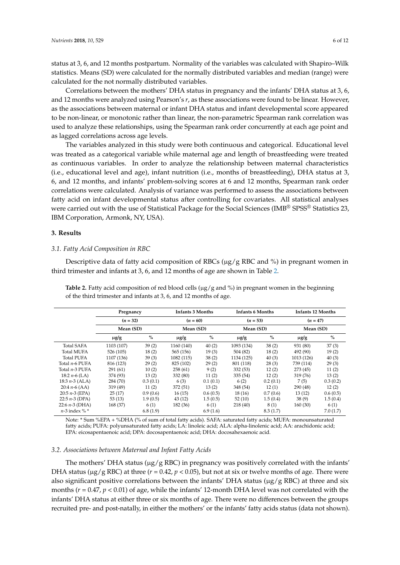status at 3, 6, and 12 months postpartum. Normality of the variables was calculated with Shapiro–Wilk statistics. Means (SD) were calculated for the normally distributed variables and median (range) were calculated for the not normally distributed variables.

Correlations between the mothers' DHA status in pregnancy and the infants' DHA status at 3, 6, and 12 months were analyzed using Pearson's *r*, as these associations were found to be linear. However, as the associations between maternal or infant DHA status and infant developmental score appeared to be non-linear, or monotonic rather than linear, the non-parametric Spearman rank correlation was used to analyze these relationships, using the Spearman rank order concurrently at each age point and as lagged correlations across age levels.

The variables analyzed in this study were both continuous and categorical. Educational level was treated as a categorical variable while maternal age and length of breastfeeding were treated as continuous variables. In order to analyze the relationship between maternal characteristics (i.e., educational level and age), infant nutrition (i.e., months of breastfeeding), DHA status at 3, 6, and 12 months, and infants' problem-solving scores at 6 and 12 months, Spearman rank order correlations were calculated. Analysis of variance was performed to assess the associations between fatty acid on infant developmental status after controlling for covariates. All statistical analyses were carried out with the use of Statistical Package for the Social Sciences (IMB® SPSS® Statistics 23, IBM Corporation, Armonk, NY, USA).

#### **3. Results**

#### *3.1. Fatty Acid Composition in RBC*

Descriptive data of fatty acid composition of RBCs ( $\mu$ g/g RBC and %) in pregnant women in third trimester and infants at 3, 6, and 12 months of age are shown in Table [2.](#page-5-0)

<span id="page-5-0"></span>**Table 2.** Fatty acid composition of red blood cells ( $\mu$ g/g and %) in pregnant women in the beginning of the third trimester and infants at 3, 6, and 12 months of age.

|                   | Pregnancy<br>$(n = 32)$<br>Mean (SD) |          | <b>Infants 3 Months</b><br>$(n = 60)$ |          | <b>Infants 6 Months</b><br>$(n = 53)$ |          | <b>Infants 12 Months</b><br>$(n = 47)$ |          |
|-------------------|--------------------------------------|----------|---------------------------------------|----------|---------------------------------------|----------|----------------------------------------|----------|
|                   |                                      |          |                                       |          |                                       |          |                                        |          |
|                   |                                      |          | Mean (SD)                             |          | Mean (SD)                             |          | Mean (SD)                              |          |
|                   | $\mu$ g/g                            | $\%$     | $\mu$ g/g                             | $\%$     | $\mu$ g/g                             | $\%$     | $\mu$ g/g                              | $\%$     |
| <b>Total SAFA</b> | 1103 (107)                           | 39(2)    | 1160 (140)                            | 40(2)    | 1093 (134)                            | 38(2)    | 931 (80)                               | 37(3)    |
| <b>Total MUFA</b> | 526 (105)                            | 18(2)    | 565 (156)                             | 19(3)    | 504 (82)                              | 18(2)    | 492 (90)                               | 19(2)    |
| <b>Total PUFA</b> | 1107 (136)                           | 39(3)    | 1082 (115)                            | 38(2)    | 1134 (125)                            | 40(3)    | 1013 (126)                             | 40(3)    |
| Total n-6 PUFA    | 816 (123)                            | 29(2)    | 825 (102)                             | 29(2)    | 801 (118)                             | 28(3)    | 739 (114)                              | 29(3)    |
| Total n-3 PUFA    | 291(61)                              | 10(2)    | 258(61)                               | 9(2)     | 332(53)                               | 12(2)    | 273(45)                                | 11(2)    |
| 18:2 $n-6$ (LA)   | 374 (93)                             | 13(2)    | 332 (80)                              | 11(2)    | 335(54)                               | 12(2)    | 319 (76)                               | 13(2)    |
| 18:3 $n-3$ (ALA)  | 284 (70)                             | 0.3(0.1) | 6(3)                                  | 0.1(0.1) | 6(2)                                  | 0.2(0.1) | 7(5)                                   | 0.3(0.2) |
| 20:4 $n-6$ (AA)   | 319 (49)                             | 11(2)    | 372 (51)                              | 13(2)    | 348 (54)                              | 12(1)    | 290 (48)                               | 12(2)    |
| 20:5 $n-3$ (EPA)  | 25(17)                               | 0.9(0.6) | 16(15)                                | 0.6(0.5) | 18(16)                                | 0.7(0.6) | 13(12)                                 | 0.6(0.5) |
| 22:5 $n-3$ (DPA)  | 53(13)                               | 1.9(0.5) | 43(12)                                | 1.5(0.5) | 52(10)                                | 1.5(0.4) | 38(9)                                  | 1.5(0.4) |
| 22:6 $n-3$ (DHA)  | 168 (37)                             | 6(1)     | 182 (36)                              | 6(1)     | 218 (40)                              | 8(1)     | 160(30)                                | 6(1)     |
| $n-3$ index % $*$ |                                      | 6.8(1.9) |                                       | 6.9(1.6) |                                       | 8.3(1.7) |                                        | 7.0(1.7) |

Note: \* Sum %EPA + %DHA (% of sum of total fatty acids). SAFA: saturated fatty acids; MUFA: monounsaturated fatty acids; PUFA: polyunsaturated fatty acids; LA: linoleic acid; ALA: alpha-linolenic acid; AA: arachidonic acid; EPA: eicosapentaenoic acid; DPA: docosapentaenoic acid; DHA: docosahexaenoic acid.

#### *3.2. Associations between Maternal and Infant Fatty Acids*

The mothers' DHA status ( $\mu$ g/g RBC) in pregnancy was positively correlated with the infants' DHA status ( $\mu$ g/g RBC) at three ( $r = 0.42$ ,  $p < 0.05$ ), but not at six or twelve months of age. There were also significant positive correlations between the infants' DHA status ( $\mu$ g/g RBC) at three and six months ( $r = 0.47$ ,  $p < 0.01$ ) of age, while the infants' 12-month DHA level was not correlated with the infants' DHA status at either three or six months of age. There were no differences between the groups recruited pre- and post-natally, in either the mothers' or the infants' fatty acids status (data not shown).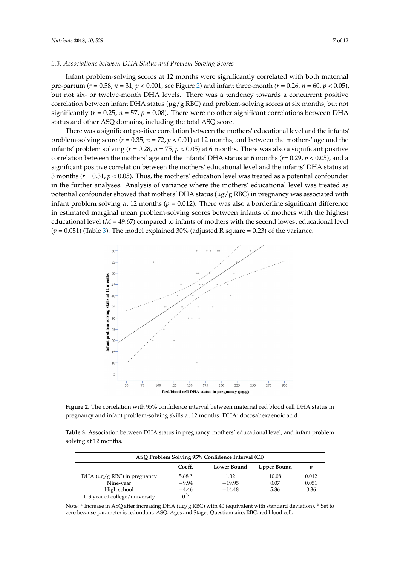# 3.3. Associations between DHA Status and Problem Solving Scores

Infant problem-solving scores at 12 months were significantly correlated with both maternal pre-partum ( $r = 0.58$ ,  $n = 31$ ,  $p < 0.001$ , see Figure [2\)](#page-6-0) and infant three-month ( $r = 0.26$ ,  $n = 60$ ,  $p < 0.05$ ), but not six- or twelve-month DHA levels. There was a tendency towards a concurrent positive correlation between infant DHA status ( $\mu$ g/g RBC) and problem-solving scores at six months, but not significantly ( $r = 0.25$ ,  $n = 57$ ,  $p = 0.08$ ). There were no other significant correlations between DHA status and other ASQ domains, including the total ASQ score.

There was a significant positive correlation between the mothers' educational level and the infants' problem-solving score ( $r = 0.35$ ,  $n = 72$ ,  $p < 0.01$ ) at 12 months, and between the mothers' age and the infants' problem solving  $(r = 0.28, n = 75, p < 0.05)$  at 6 months. There was also a significant positive correlation between the mothers' age and the infants' DHA status at 6 months ( $r$ = 0.29,  $p$  < 0.05), and a  ${\rm significant}$  positive correlation between the mothers' educational level and the infants'  ${\rm DHA}$  status at 3 months ( $r$  = 0.31,  $p$  < 0.05). Thus, the mothers' education level was treated as a potential confounder in the further analyses. Analysis of variance where the mothers' educational level was treated as potential confounder showed that mothers' DHA status ( $\mu$ g/g RBC) in pregnancy was associated with infant problem solving at 12 months ( $p = 0.012$ ). There was also a borderline significant difference in estimated marginal mean problem-solving scores between infants of mothers with the highest educational level (*M* = 49.67) compared to infants of mothers with the second lowest educational level *(p* = 0.051) (Table [3\)](#page-6-1). The model explained 30% (adjusted R square = 0.23) of the variance. as problem solving  $(r = 0.26, n = 76, p \times 0.05)$  at 6 months. There was also a significant  $P_0$ .  $s_{\text{o}}(1)$  (table *s*). The model

<span id="page-6-0"></span>

**Figure 2.** The correlation with 95% confidence interval between maternal red blood cell DHA status **Figure 2.** The correlation with 95% confidence interval between maternal red blood cell DHA status in in pregnancy and infant problem-solving skills at 12 months. DHA: docosahexaenoic acid. pregnancy and infant problem-solving skills at 12 months. DHA: docosahexaenoic acid.

<span id="page-6-1"></span>

| Table 3. Association between DHA status in pregnancy, mothers' educational level, and infant problem |  |
|------------------------------------------------------------------------------------------------------|--|
| solving at 12 months.                                                                                |  |

| ASQ Problem Solving 95% Confidence Interval (CI) |          |                    |             |       |
|--------------------------------------------------|----------|--------------------|-------------|-------|
|                                                  | Coeff.   | <b>Lower Bound</b> | Upper Bound |       |
| DHA ( $\mu$ g/g RBC) in pregnancy                | 5.68 $a$ | 1.32               | 10.08       | 0.012 |
| Nine-year                                        | $-9.94$  | $-19.95$           | 0.07        | 0.051 |
| High school                                      | $-4.46$  | $-14.48$           | 5.36        | 0.36  |
| 1–3 year of college/university                   | n b      |                    |             |       |

Note: <sup>a</sup> Increase in ASQ after increasing DHA ( $\mu$ g/g RBC) with 40 (equivalent with standard deviation). <sup>b</sup> Set to zero because parameter is redundant. ASQ: Ages and Stages Questionnaire; RBC: red blood cell.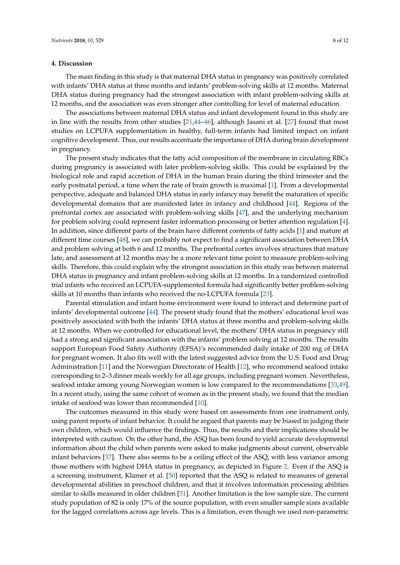#### **4. Discussion**

The main finding in this study is that maternal DHA status in pregnancy was positively correlated with infants' DHA status at three months and infants' problem-solving skills at 12 months. Maternal DHA status during pregnancy had the strongest association with infant problem-solving skills at 12 months, and the association was even stronger after controlling for level of maternal education.

The associations between maternal DHA status and infant development found in this study are in line with the results from other studies [\[21](#page-9-10)[,44–](#page-10-16)[46\]](#page-10-17), although Jasani et al. [\[27\]](#page-9-15) found that most studies on LCPUFA supplementation in healthy, full-term infants had limited impact on infant cognitive development. Thus, our results accentuate the importance of DHA during brain development in pregnancy.

The present study indicates that the fatty acid composition of the membrane in circulating RBCs during pregnancy is associated with later problem-solving skills. This could be explained by the biological role and rapid accretion of DHA in the human brain during the third trimester and the early postnatal period, a time when the rate of brain growth is maximal [\[1\]](#page-8-0). From a developmental perspective, adequate and balanced DHA status in early infancy may benefit the maturation of specific developmental domains that are manifested later in infancy and childhood [\[44\]](#page-10-16). Regions of the prefrontal cortex are associated with problem-solving skills [\[47\]](#page-10-18), and the underlying mechanism for problem solving could represent faster information processing or better attention regulation [\[4\]](#page-8-2). In addition, since different parts of the brain have different contents of fatty acids [\[1\]](#page-8-0) and mature at different time courses [\[48\]](#page-10-19), we can probably not expect to find a significant association between DHA and problem solving at both 6 and 12 months. The prefrontal cortex involves structures that mature late, and assessment at 12 months may be a more relevant time point to measure problem-solving skills. Therefore, this could explain why the strongest association in this study was between maternal DHA status in pregnancy and infant problem-solving skills at 12 months. In a randomized controlled trial infants who received an LCPUFA-supplemented formula had significantly better problem-solving skills at 10 months than infants who received the no-LCPUFA formula [\[23\]](#page-9-11).

Parental stimulation and infant home environment were found to interact and determine part of infants' developmental outcome [\[44\]](#page-10-16). The present study found that the mothers' educational level was positively associated with both the infants' DHA status at three months and problem-solving skills at 12 months. When we controlled for educational level, the mothers' DHA status in pregnancy still had a strong and significant association with the infants' problem solving at 12 months. The results support European Food Safety Authority (EFSA)'s recommended daily intake of 200 mg of DHA for pregnant women. It also fits well with the latest suggested advice from the U.S. Food and Drug Administration [\[11\]](#page-9-0) and the Norwegian Directorate of Health [\[12\]](#page-9-1), who recommend seafood intake corresponding to 2–3 dinner meals weekly for all age groups, including pregnant women. Nevertheless, seafood intake among young Norwegian women is low compared to the recommendations [\[33,](#page-10-5)[49\]](#page-10-20). In a recent study, using the same cohort of women as in the present study, we found that the median intake of seafood was lower than recommended [\[10\]](#page-8-8).

The outcomes measured in this study were based on assessments from one instrument only, using parent reports of infant behavior. It could be argued that parents may be biased in judging their own children, which would influence the findings. Thus, the results and their implications should be interpreted with caution. On the other hand, the ASQ has been found to yield accurate developmental information about the child when parents were asked to make judgments about current, observable infant behaviors [\[37\]](#page-10-9). There also seems to be a ceiling effect of the ASQ, with less variance among those mothers with highest DHA status in pregnancy, as depicted in Figure [2.](#page-6-0) Even if the ASQ is a screening instrument, Klamer et al. [\[50\]](#page-11-0) reported that the ASQ is related to measures of general developmental abilities in preschool children, and that it involves information processing abilities similar to skills measured in older children [\[51\]](#page-11-1). Another limitation is the low sample size. The current study population of 82 is only 17% of the source population, with even smaller sample sizes available for the lagged correlations across age levels. This is a limitation, even though we used non-parametric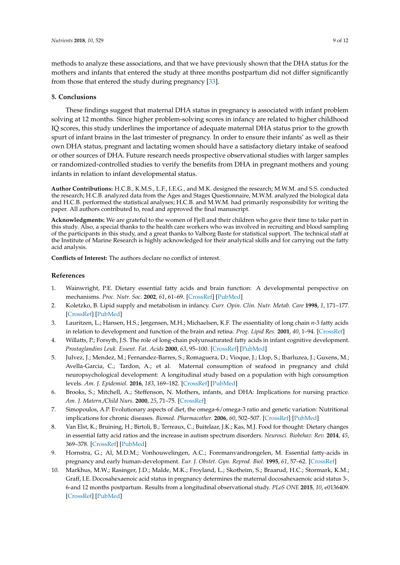methods to analyze these associations, and that we have previously shown that the DHA status for the mothers and infants that entered the study at three months postpartum did not differ significantly from those that entered the study during pregnancy [\[33\]](#page-10-5).

# **5. Conclusions**

These findings suggest that maternal DHA status in pregnancy is associated with infant problem solving at 12 months. Since higher problem-solving scores in infancy are related to higher childhood IQ scores, this study underlines the importance of adequate maternal DHA status prior to the growth spurt of infant brains in the last trimester of pregnancy. In order to ensure their infants' as well as their own DHA status, pregnant and lactating women should have a satisfactory dietary intake of seafood or other sources of DHA. Future research needs prospective observational studies with larger samples or randomized-controlled studies to verify the benefits from DHA in pregnant mothers and young infants in relation to infant developmental status.

**Author Contributions:** H.C.B., K.M.S., L.F., I.E.G., and M.K. designed the research; M.W.M. and S.S. conducted the research; H.C.B. analyzed data from the Ages and Stages Questionnaire, M.W.M. analyzed the biological data and H.C.B. performed the statistical analyses; H.C.B. and M.W.M. had primarily responsibility for writing the paper. All authors contributed to, read and approved the final manuscript.

**Acknowledgments:** We are grateful to the women of Fjell and their children who gave their time to take part in this study. Also, a special thanks to the health care workers who was involved in recruiting and blood sampling of the participants in this study, and a great thanks to Valborg Baste for statistical support. The technical staff at the Institute of Marine Research is highly acknowledged for their analytical skills and for carrying out the fatty acid analysis.

**Conflicts of Interest:** The authors declare no conflict of interest.

# **References**

- <span id="page-8-0"></span>1. Wainwright, P.E. Dietary essential fatty acids and brain function: A developmental perspective on mechanisms. *Proc. Nutr. Soc.* **2002**, *61*, 61–69. [\[CrossRef\]](http://dx.doi.org/10.1079/PNS2001130) [\[PubMed\]](http://www.ncbi.nlm.nih.gov/pubmed/12002796)
- <span id="page-8-1"></span>2. Koletzko, B. Lipid supply and metabolism in infancy. *Curr. Opin. Clin. Nutr. Metab. Care* **1998**, *1*, 171–177. [\[CrossRef\]](http://dx.doi.org/10.1097/00075197-199803000-00005) [\[PubMed\]](http://www.ncbi.nlm.nih.gov/pubmed/10565344)
- 3. Lauritzen, L.; Hansen, H.S.; Jørgensen, M.H.; Michaelsen, K.F. The essentiality of long chain *n*-3 fatty acids in relation to development and function of the brain and retina. *Prog. Lipid Res.* **2001**, *40*, 1–94. [\[CrossRef\]](http://dx.doi.org/10.1016/S0163-7827(00)00017-5)
- <span id="page-8-2"></span>4. Willatts, P.; Forsyth, J.S. The role of long-chain polyunsaturated fatty acids in infant cognitive development. *Prostaglandins Leuk. Essent. Fat. Acids* **2000**, *63*, 95–100. [\[CrossRef\]](http://dx.doi.org/10.1054/plef.2000.0198) [\[PubMed\]](http://www.ncbi.nlm.nih.gov/pubmed/10970720)
- <span id="page-8-3"></span>5. Julvez, J.; Mendez, M.; Fernandez-Barres, S.; Romaguera, D.; Vioque, J.; Llop, S.; Ibarluzea, J.; Guxens, M.; Avella-Garcia, C.; Tardon, A.; et al. Maternal consumption of seafood in pregnancy and child neuropsychological development: A longitudinal study based on a population with high consumption levels. *Am. J. Epidemiol.* **2016**, *183*, 169–182. [\[CrossRef\]](http://dx.doi.org/10.1093/aje/kwv195) [\[PubMed\]](http://www.ncbi.nlm.nih.gov/pubmed/26740026)
- <span id="page-8-4"></span>6. Brooks, S.; Mitchell, A.; Steffenson, N. Mothers, infants, and DHA: Implications for nursing practice. *Am. J. Matern./Child Nurs.* **2000**, *25*, 71–75. [\[CrossRef\]](http://dx.doi.org/10.1097/00005721-200003000-00005)
- <span id="page-8-5"></span>7. Simopoulos, A.P. Evolutionary aspects of diet, the omega-6/omega-3 ratio and genetic variation: Nutritional implications for chronic diseases. *Biomed. Pharmacother.* **2006**, *60*, 502–507. [\[CrossRef\]](http://dx.doi.org/10.1016/j.biopha.2006.07.080) [\[PubMed\]](http://www.ncbi.nlm.nih.gov/pubmed/17045449)
- <span id="page-8-6"></span>8. Van Elst, K.; Bruining, H.; Birtoli, B.; Terreaux, C.; Buitelaar, J.K.; Kas, M.J. Food for thought: Dietary changes in essential fatty acid ratios and the increase in autism spectrum disorders. *Neurosci. Biobehav. Rev.* **2014**, *45*, 369–378. [\[CrossRef\]](http://dx.doi.org/10.1016/j.neubiorev.2014.07.004) [\[PubMed\]](http://www.ncbi.nlm.nih.gov/pubmed/25025657)
- <span id="page-8-7"></span>9. Hornstra, G.; Al, M.D.M.; Vonhouwelingen, A.C.; Foremanvandrongelen, M. Essential fatty-acids in pregnancy and early human-development. *Eur. J. Obstet. Gyn. Reprod. Biol.* **1995**, *61*, 57–62. [\[CrossRef\]](http://dx.doi.org/10.1016/0028-2243(95)02153-J)
- <span id="page-8-8"></span>10. Markhus, M.W.; Rasinger, J.D.; Malde, M.K.; Froyland, L.; Skotheim, S.; Braarud, H.C.; Stormark, K.M.; Graff, I.E. Docosahexaenoic acid status in pregnancy determines the maternal docosahexaenoic acid status 3-, 6-and 12 months postpartum. Results from a longitudinal observational study. *PLoS ONE* **2015**, *10*, e0136409. [\[CrossRef\]](http://dx.doi.org/10.1371/journal.pone.0136409) [\[PubMed\]](http://www.ncbi.nlm.nih.gov/pubmed/26331947)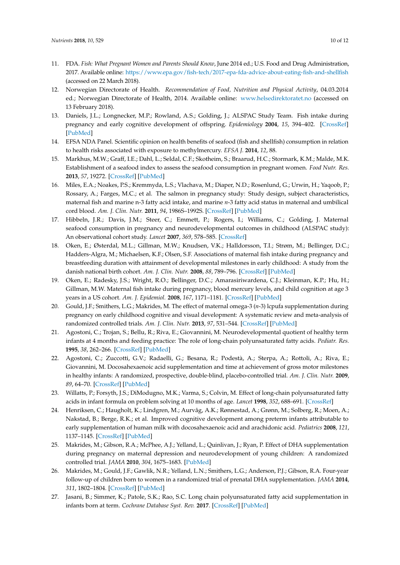- <span id="page-9-0"></span>11. FDA. *Fish: What Pregnant Women and Parents Should Know*, June 2014 ed.; U.S. Food and Drug Administration, 2017. Available online: <https://www.epa.gov/fish-tech/2017-epa-fda-advice-about-eating-fish-and-shellfish> (accessed on 22 March 2018).
- <span id="page-9-1"></span>12. Norwegian Directorate of Health. *Recommendation of Food, Nutrition and Physical Activity*, 04.03.2014 ed.; Norwegian Directorate of Health, 2014. Available online: <www.helsedirektoratet.no> (accessed on 13 February 2018).
- <span id="page-9-2"></span>13. Daniels, J.L.; Longnecker, M.P.; Rowland, A.S.; Golding, J.; ALSPAC Study Team. Fish intake during pregnancy and early cognitive development of offspring. *Epidemiology* **2004**, *15*, 394–402. [\[CrossRef\]](http://dx.doi.org/10.1097/01.ede.0000129514.46451.ce) [\[PubMed\]](http://www.ncbi.nlm.nih.gov/pubmed/15232398)
- <span id="page-9-3"></span>14. EFSA NDA Panel. Scientific opinion on health benefits of seafood (fish and shellfish) consumption in relation to health risks associated with exposure to methylmercury. *EFSA J.* **2014**, *12*, 88.
- <span id="page-9-4"></span>15. Markhus, M.W.; Graff, I.E.; Dahl, L.; Seldal, C.F.; Skotheim, S.; Braarud, H.C.; Stormark, K.M.; Malde, M.K. Establishment of a seafood index to assess the seafood consumption in pregnant women. *Food Nutr. Res.* **2013**, *57*, 19272. [\[CrossRef\]](http://dx.doi.org/10.3402/fnr.v57i0.19272) [\[PubMed\]](http://www.ncbi.nlm.nih.gov/pubmed/23467715)
- <span id="page-9-5"></span>16. Miles, E.A.; Noakes, P.S.; Kremmyda, L.S.; Vlachava, M.; Diaper, N.D.; Rosenlund, G.; Urwin, H.; Yaqoob, P.; Rossary, A.; Farges, M.C.; et al. The salmon in pregnancy study: Study design, subject characteristics, maternal fish and marine n-3 fatty acid intake, and marine *n*-3 fatty acid status in maternal and umbilical cord blood. *Am. J. Clin. Nutr.* **2011**, *94*, 1986S–1992S. [\[CrossRef\]](http://dx.doi.org/10.3945/ajcn.110.001636) [\[PubMed\]](http://www.ncbi.nlm.nih.gov/pubmed/21849598)
- <span id="page-9-6"></span>17. Hibbeln, J.R.; Davis, J.M.; Steer, C.; Emmett, P.; Rogers, I.; Williams, C.; Golding, J. Maternal seafood consumption in pregnancy and neurodevelopmental outcomes in childhood (ALSPAC study): An observational cohort study. *Lancet* **2007**, *369*, 578–585. [\[CrossRef\]](http://dx.doi.org/10.1016/S0140-6736(07)60277-3)
- <span id="page-9-7"></span>18. Oken, E.; Østerdal, M.L.; Gillman, M.W.; Knudsen, V.K.; Halldorsson, T.I.; Strøm, M.; Bellinger, D.C.; Hadders-Algra, M.; Michaelsen, K.F.; Olsen, S.F. Associations of maternal fish intake during pregnancy and breastfeeding duration with attainment of developmental milestones in early childhood: A study from the danish national birth cohort. *Am. J. Clin. Nutr.* **2008**, *88*, 789–796. [\[CrossRef\]](http://dx.doi.org/10.1093/ajcn/88.3.789) [\[PubMed\]](http://www.ncbi.nlm.nih.gov/pubmed/18779297)
- <span id="page-9-8"></span>19. Oken, E.; Radesky, J.S.; Wright, R.O.; Bellinger, D.C.; Amarasiriwardena, C.J.; Kleinman, K.P.; Hu, H.; Gillman, M.W. Maternal fish intake during pregnancy, blood mercury levels, and child cognition at age 3 years in a US cohort. *Am. J. Epidemiol.* **2008**, *167*, 1171–1181. [\[CrossRef\]](http://dx.doi.org/10.1093/aje/kwn034) [\[PubMed\]](http://www.ncbi.nlm.nih.gov/pubmed/18353804)
- <span id="page-9-9"></span>20. Gould, J.F.; Smithers, L.G.; Makrides, M. The effect of maternal omega-3 (*n*-3) lcpufa supplementation during pregnancy on early childhood cognitive and visual development: A systematic review and meta-analysis of randomized controlled trials. *Am. J. Clin. Nutr.* **2013**, *97*, 531–544. [\[CrossRef\]](http://dx.doi.org/10.3945/ajcn.112.045781) [\[PubMed\]](http://www.ncbi.nlm.nih.gov/pubmed/23364006)
- <span id="page-9-10"></span>21. Agostoni, C.; Trojan, S.; Bellu, R.; Riva, E.; Giovannini, M. Neurodevelopmental quotient of healthy term infants at 4 months and feeding practice: The role of long-chain polyunsaturated fatty acids. *Pediatr. Res.* **1995**, *38*, 262–266. [\[CrossRef\]](http://dx.doi.org/10.1203/00006450-199508000-00021) [\[PubMed\]](http://www.ncbi.nlm.nih.gov/pubmed/7478826)
- 22. Agostoni, C.; Zuccotti, G.V.; Radaelli, G.; Besana, R.; Podestà, A.; Sterpa, A.; Rottoli, A.; Riva, E.; Giovannini, M. Docosahexaenoic acid supplementation and time at achievement of gross motor milestones in healthy infants: A randomized, prospective, double-blind, placebo-controlled trial. *Am. J. Clin. Nutr.* **2009**, *89*, 64–70. [\[CrossRef\]](http://dx.doi.org/10.3945/ajcn.2008.26590) [\[PubMed\]](http://www.ncbi.nlm.nih.gov/pubmed/19056592)
- <span id="page-9-11"></span>23. Willatts, P.; Forsyth, J.S.; DiModugno, M.K.; Varma, S.; Colvin, M. Effect of long-chain polyunsaturated fatty acids in infant formula on problem solving at 10 months of age. *Lancet* **1998**, *352*, 688–691. [\[CrossRef\]](http://dx.doi.org/10.1016/S0140-6736(97)11374-5)
- <span id="page-9-12"></span>24. Henriksen, C.; Haugholt, K.; Lindgren, M.; Aurvåg, A.K.; Rønnestad, A.; Grønn, M.; Solberg, R.; Moen, A.; Nakstad, B.; Berge, R.K.; et al. Improved cognitive development among preterm infants attributable to early supplementation of human milk with docosahexaenoic acid and arachidonic acid. *Pediatrics* **2008**, *121*, 1137–1145. [\[CrossRef\]](http://dx.doi.org/10.1542/peds.2007-1511) [\[PubMed\]](http://www.ncbi.nlm.nih.gov/pubmed/18519483)
- <span id="page-9-13"></span>25. Makrides, M.; Gibson, R.A.; McPhee, A.J.; Yelland, L.; Quinlivan, J.; Ryan, P. Effect of DHA supplementation during pregnancy on maternal depression and neurodevelopment of young children: A randomized controlled trial. *JAMA* **2010**, *304*, 1675–1683. [\[PubMed\]](http://www.ncbi.nlm.nih.gov/pubmed/20959577)
- <span id="page-9-14"></span>26. Makrides, M.; Gould, J.F.; Gawlik, N.R.; Yelland, L.N.; Smithers, L.G.; Anderson, P.J.; Gibson, R.A. Four-year follow-up of children born to women in a randomized trial of prenatal DHA supplementation. *JAMA* **2014**, *311*, 1802–1804. [\[CrossRef\]](http://dx.doi.org/10.1001/jama.2014.2194) [\[PubMed\]](http://www.ncbi.nlm.nih.gov/pubmed/24794375)
- <span id="page-9-15"></span>27. Jasani, B.; Simmer, K.; Patole, S.K.; Rao, S.C. Long chain polyunsaturated fatty acid supplementation in infants born at term. *Cochrane Database Syst. Rev.* **2017**. [\[CrossRef\]](http://dx.doi.org/10.1002/14651858.CD000376.pub4) [\[PubMed\]](http://www.ncbi.nlm.nih.gov/pubmed/28281303)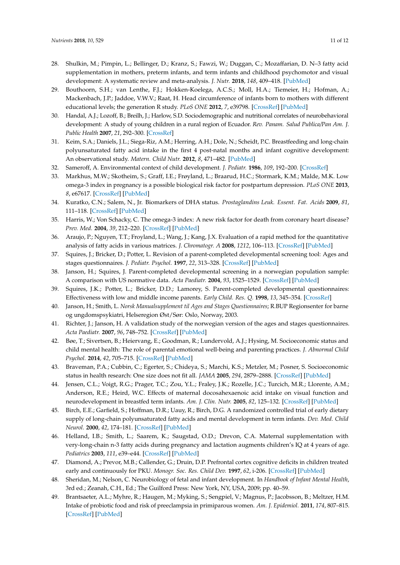- <span id="page-10-0"></span>28. Shulkin, M.; Pimpin, L.; Bellinger, D.; Kranz, S.; Fawzi, W.; Duggan, C.; Mozaffarian, D. N–3 fatty acid supplementation in mothers, preterm infants, and term infants and childhood psychomotor and visual development: A systematic review and meta-analysis. *J. Nutr.* **2018**, *148*, 409–418. [\[PubMed\]](http://www.ncbi.nlm.nih.gov/pubmed/29546296)
- <span id="page-10-1"></span>29. Bouthoorn, S.H.; van Lenthe, F.J.; Hokken-Koelega, A.C.S.; Moll, H.A.; Tiemeier, H.; Hofman, A.; Mackenbach, J.P.; Jaddoe, V.W.V.; Raat, H. Head circumference of infants born to mothers with different educational levels; the generation R study. *PLoS ONE* **2012**, *7*, e39798. [\[CrossRef\]](http://dx.doi.org/10.1371/journal.pone.0039798) [\[PubMed\]](http://www.ncbi.nlm.nih.gov/pubmed/22768125)
- <span id="page-10-2"></span>30. Handal, A.J.; Lozoff, B.; Breilh, J.; Harlow, S.D. Sociodemographic and nutritional correlates of neurobehavioral development: A study of young children in a rural region of Ecuador. *Rev. Panam. Salud Publica/Pan Am. J. Public Health* **2007**, *21*, 292–300. [\[CrossRef\]](http://dx.doi.org/10.1590/S1020-49892007000400004)
- <span id="page-10-3"></span>31. Keim, S.A.; Daniels, J.L.; Siega-Riz, A.M.; Herring, A.H.; Dole, N.; Scheidt, P.C. Breastfeeding and long-chain polyunsaturated fatty acid intake in the first 4 post-natal months and infant cognitive development: An observational study. *Matern. Child Nutr.* **2012**, *8*, 471–482. [\[PubMed\]](http://www.ncbi.nlm.nih.gov/pubmed/21615865)
- <span id="page-10-4"></span>32. Sameroff, A. Environmental context of child development. *J. Pediatr.* **1986**, *109*, 192–200. [\[CrossRef\]](http://dx.doi.org/10.1016/S0022-3476(86)80604-7)
- <span id="page-10-5"></span>33. Markhus, M.W.; Skotheim, S.; Graff, I.E.; Frøyland, L.; Braarud, H.C.; Stormark, K.M.; Malde, M.K. Low omega-3 index in pregnancy is a possible biological risk factor for postpartum depression. *PLoS ONE* **2013**, *8*, e67617. [\[CrossRef\]](http://dx.doi.org/10.1371/journal.pone.0067617) [\[PubMed\]](http://www.ncbi.nlm.nih.gov/pubmed/23844041)
- <span id="page-10-6"></span>34. Kuratko, C.N.; Salem, N., Jr. Biomarkers of DHA status. *Prostaglandins Leuk. Essent. Fat. Acids* **2009**, *81*, 111–118. [\[CrossRef\]](http://dx.doi.org/10.1016/j.plefa.2009.05.007) [\[PubMed\]](http://www.ncbi.nlm.nih.gov/pubmed/19545987)
- <span id="page-10-7"></span>35. Harris, W.; Von Schacky, C. The omega-3 index: A new risk factor for death from coronary heart disease? *Prev. Med.* **2004**, *39*, 212–220. [\[CrossRef\]](http://dx.doi.org/10.1016/j.ypmed.2004.02.030) [\[PubMed\]](http://www.ncbi.nlm.nih.gov/pubmed/15208005)
- <span id="page-10-8"></span>36. Araujo, P.; Nguyen, T.T.; Froyland, L.; Wang, J.; Kang, J.X. Evaluation of a rapid method for the quantitative analysis of fatty acids in various matrices. *J. Chromatogr. A* **2008**, *1212*, 106–113. [\[CrossRef\]](http://dx.doi.org/10.1016/j.chroma.2008.10.006) [\[PubMed\]](http://www.ncbi.nlm.nih.gov/pubmed/18937951)
- <span id="page-10-9"></span>37. Squires, J.; Bricker, D.; Potter, L. Revision of a parent-completed developmental screening tool: Ages and stages questionnaires. *J. Pediatr. Psychol.* **1997**, *22*, 313–328. [\[CrossRef\]](http://dx.doi.org/10.1093/jpepsy/22.3.313) [\[PubMed\]](http://www.ncbi.nlm.nih.gov/pubmed/9212550)
- <span id="page-10-10"></span>38. Janson, H.; Squires, J. Parent-completed developmental screening in a norwegian population sample: A comparison with US normative data. *Acta Paediatr.* **2004**, *93*, 1525–1529. [\[CrossRef\]](http://dx.doi.org/10.1111/j.1651-2227.2004.tb02641.x) [\[PubMed\]](http://www.ncbi.nlm.nih.gov/pubmed/15513584)
- <span id="page-10-11"></span>39. Squires, J.K.; Potter, L.; Bricker, D.D.; Lamorey, S. Parent-completed developmental questionnaires: Effectiveness with low and middle income parents. *Early Child. Res. Q.* **1998**, *13*, 345–354. [\[CrossRef\]](http://dx.doi.org/10.1016/S0885-2006(99)80043-X)
- <span id="page-10-12"></span>40. Janson, H.; Smith, L. *Norsk Manualsupplement til Ages and Stages Questionnaires*; R.BUP Regionsenter for barne og ungdomspsykiatri, Helseregion Øst/Sør: Oslo, Norway, 2003.
- <span id="page-10-13"></span>41. Richter, J.; Janson, H. A validation study of the norwegian version of the ages and stages questionnaires. *Acta Paediatr.* **2007**, *96*, 748–752. [\[CrossRef\]](http://dx.doi.org/10.1111/j.1651-2227.2007.00246.x) [\[PubMed\]](http://www.ncbi.nlm.nih.gov/pubmed/17462065)
- <span id="page-10-14"></span>42. Bøe, T.; Sivertsen, B.; Heiervang, E.; Goodman, R.; Lundervold, A.J.; Hysing, M. Socioeconomic status and child mental health: The role of parental emotional well-being and parenting practices. *J. Abnormal Child Psychol.* **2014**, *42*, 705–715. [\[CrossRef\]](http://dx.doi.org/10.1007/s10802-013-9818-9) [\[PubMed\]](http://www.ncbi.nlm.nih.gov/pubmed/24150864)
- <span id="page-10-15"></span>43. Braveman, P.A.; Cubbin, C.; Egerter, S.; Chideya, S.; Marchi, K.S.; Metzler, M.; Posner, S. Socioeconomic status in health research: One size does not fit all. *JAMA* **2005**, *294*, 2879–2888. [\[CrossRef\]](http://dx.doi.org/10.1001/jama.294.22.2879) [\[PubMed\]](http://www.ncbi.nlm.nih.gov/pubmed/16352796)
- <span id="page-10-16"></span>44. Jensen, C.L.; Voigt, R.G.; Prager, T.C.; Zou, Y.L.; Fraley, J.K.; Rozelle, J.C.; Turcich, M.R.; Llorente, A.M.; Anderson, R.E.; Heird, W.C. Effects of maternal docosahexaenoic acid intake on visual function and neurodevelopment in breastfed term infants. *Am. J. Clin. Nutr.* **2005**, *82*, 125–132. [\[CrossRef\]](http://dx.doi.org/10.1093/ajcn/82.1.125) [\[PubMed\]](http://www.ncbi.nlm.nih.gov/pubmed/16002810)
- 45. Birch, E.E.; Garfield, S.; Hoffman, D.R.; Uauy, R.; Birch, D.G. A randomized controlled trial of early dietary supply of long-chain polyunsaturated fatty acids and mental development in term infants. *Dev. Med. Child Neurol.* **2000**, *42*, 174–181. [\[CrossRef\]](http://dx.doi.org/10.1017/S0012162200000311) [\[PubMed\]](http://www.ncbi.nlm.nih.gov/pubmed/10755457)
- <span id="page-10-17"></span>46. Helland, I.B.; Smith, L.; Saarem, K.; Saugstad, O.D.; Drevon, C.A. Maternal supplementation with very-long-chain n-3 fatty acids during pregnancy and lactation augments children's IQ at 4 years of age. *Pediatrics* **2003**, *111*, e39–e44. [\[CrossRef\]](http://dx.doi.org/10.1542/peds.111.1.e39) [\[PubMed\]](http://www.ncbi.nlm.nih.gov/pubmed/12509593)
- <span id="page-10-18"></span>47. Diamond, A.; Prevor, M.B.; Callender, G.; Druin, D.P. Prefrontal cortex cognitive deficits in children treated early and continuously for PKU. *Monogr. Soc. Res. Child Dev.* **1997**, *62*, i-206. [\[CrossRef\]](http://dx.doi.org/10.2307/1166208) [\[PubMed\]](http://www.ncbi.nlm.nih.gov/pubmed/9421921)
- <span id="page-10-19"></span>48. Sheridan, M.; Nelson, C. Neurobiology of fetal and infant development. In *Handbook of Infant Mental Health*, 3rd ed.; Zeanah, C.H., Ed.; The Guilford Press: New York, NY, USA, 2009; pp. 40–59.
- <span id="page-10-20"></span>49. Brantsaeter, A.L.; Myhre, R.; Haugen, M.; Myking, S.; Sengpiel, V.; Magnus, P.; Jacobsson, B.; Meltzer, H.M. Intake of probiotic food and risk of preeclampsia in primiparous women. *Am. J. Epidemiol.* **2011**, *174*, 807–815. [\[CrossRef\]](http://dx.doi.org/10.1093/aje/kwr168) [\[PubMed\]](http://www.ncbi.nlm.nih.gov/pubmed/21821542)